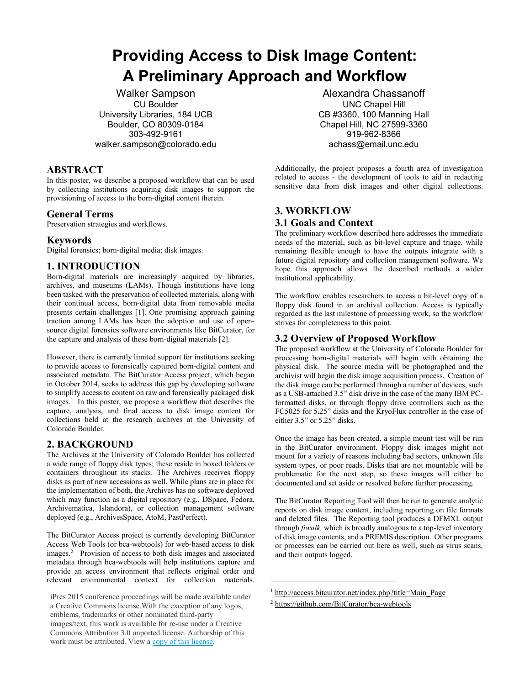# **Providing Access to Disk Image Content: A Preliminary Approach and Workflow**

Walker Sampson CU Boulder University Libraries, 184 UCB Boulder, CO 80309-0184 303-492-9161 [walker.sampson@colorado.edu](mailto:walker.sampson@colorado.edu)

### **ABSTRACT**

In this poster, we describe a proposed workflow that can be used by collecting institutions acquiring disk images to support the provisioning of access to the born-digital content therein.

### **General Terms**

Preservation strategies and workflows.

### **Keywords**

Digital forensics; born-digital media; disk images.

## **1. INTRODUCTION**

Born-digital materials are increasingly acquired by libraries, archives, and museums (LAMs). Though institutions have long been tasked with the preservation of collected materials, along with their continual access, born-digital data from removable media presents certain challenges [1]. One promising approach gaining traction among LAMs has been the adoption and use of opensource digital forensics software environments like BitCurator, for the capture and analysis of these born-digital materials [2].

However, there is currently limited support for institutions seeking to provide access to forensically captured born-digital content and associated metadata. The BitCurator Access project, which began in October 2014, seeks to address this gap by developing software to simplify access to content on raw and forensically packaged disk images.<sup>1</sup> In this poster, we propose a workflow that describes the capture, analysis, and final access to disk image content for collections held at the research archives at the University of Colorado Boulder.

### **2. BACKGROUND**

The Archives at the University of Colorado Boulder has collected a wide range of floppy disk types; these reside in boxed folders or containers throughout its stacks. The Archives receives floppy disks as part of new accessions as well. While plans are in place for the implementation of both, the Archives has no software deployed which may function as a digital repository (e.g., DSpace, Fedora, Archivematica, Islandora), or collection management software deployed (e.g., ArchivesSpace, AtoM, PastPerfect).

The BitCurator Access project is currently developing BitCurator Access Web Tools (or bca-webtools) for web-based access to disk images.<sup>2</sup> Provision of access to both disk images and associated metadata through bca-webtools will help institutions capture and provide an access environment that reflects original order and relevant environmental context for collection materials.

Alexandra Chassanoff UNC Chapel Hill CB #3360, 100 Manning Hall Chapel Hill, NC 27599-3360 919-962-8366 achass@email.unc.edu

Additionally, the project proposes a fourth area of investigation related to access - the development of tools to aid in redacting sensitive data from disk images and other digital collections.

# **3. WORKFLOW 3.1 Goals and Context**

The preliminary workflow described here addresses the immediate needs of the material, such as bit-level capture and triage, while remaining flexible enough to have the outputs integrate with a future digital repository and collection management software. We hope this approach allows the described methods a wider institutional applicability.

The workflow enables researchers to access a bit-level copy of a floppy disk found in an archival collection. Access is typically regarded as the last milestone of processing work, so the workflow strives for completeness to this point.

# **3.2 Overview of Proposed Workflow**

The proposed workflow at the University of Colorado Boulder for processing born-digital materials will begin with obtaining the physical disk. The source media will be photographed and the archivist will begin the disk image acquisition process. Creation of the disk image can be performed through a number of devices, such as a USB-attached 3.5" disk drive in the case of the many IBM PCformatted disks, or through floppy drive controllers such as the FC5025 for 5.25" disks and the KryoFlux controller in the case of either 3.5" or 5.25" disks.

Once the image has been created, a simple mount test will be run in the BitCurator environment. Floppy disk images might not mount for a variety of reasons including bad sectors, unknown file system types, or poor reads. Disks that are not mountable will be problematic for the next step, so these images will either be documented and set aside or resolved before further processing.

The BitCurator Reporting Tool will then be run to generate analytic reports on disk image content, including reporting on file formats and deleted files. The Reporting tool produces a DFMXL output through *fiwalk,* which is broadly analogous to a top-level inventory of disk image contents, and a PREMIS description. Other programs or processes can be carried out here as well, such as virus scans, and their outputs logged.

iPres 2015 conference proceedings will be made available under [a Creative Commons license.With the exception of](http://access.bitcurator.net/index.php?title=Main_Page) any logos, [emblems, trademarks or](https://github.com/BitCurator/bca-webtools) other nominated third-party images/text, this work is available for re-use under a Creative Commons Attribution 3.0 unported license. Authorship of this work must be attributed. View a copy of [this license](http://creativecommons.org/licenses/by/3.0/legalcode).

<sup>&</sup>lt;sup>1</sup> http://access.bitcurator.net/index.php?title=Main\_Page

<sup>&</sup>lt;sup>2</sup> https://github.com/BitCurator/bca-webtools